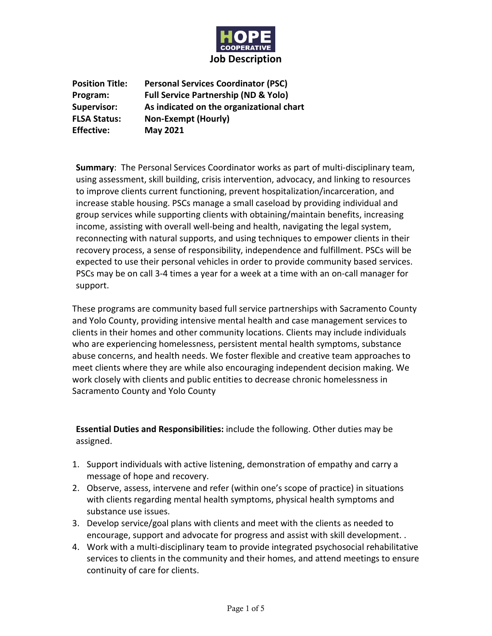

**Position Title: Personal Services Coordinator (PSC) Program: Full Service Partnership (ND & Yolo) Supervisor: As indicated on the organizational chart FLSA Status: Non-Exempt (Hourly) Effective: May 2021**

**Summary**: The Personal Services Coordinator works as part of multi-disciplinary team, using assessment, skill building, crisis intervention, advocacy, and linking to resources to improve clients current functioning, prevent hospitalization/incarceration, and increase stable housing. PSCs manage a small caseload by providing individual and group services while supporting clients with obtaining/maintain benefits, increasing income, assisting with overall well-being and health, navigating the legal system, reconnecting with natural supports, and using techniques to empower clients in their recovery process, a sense of responsibility, independence and fulfillment. PSCs will be expected to use their personal vehicles in order to provide community based services. PSCs may be on call 3-4 times a year for a week at a time with an on-call manager for support.

These programs are community based full service partnerships with Sacramento County and Yolo County, providing intensive mental health and case management services to clients in their homes and other community locations. Clients may include individuals who are experiencing homelessness, persistent mental health symptoms, substance abuse concerns, and health needs. We foster flexible and creative team approaches to meet clients where they are while also encouraging independent decision making. We work closely with clients and public entities to decrease chronic homelessness in Sacramento County and Yolo County

**Essential Duties and Responsibilities:** include the following. Other duties may be assigned.

- 1. Support individuals with active listening, demonstration of empathy and carry a message of hope and recovery.
- 2. Observe, assess, intervene and refer (within one's scope of practice) in situations with clients regarding mental health symptoms, physical health symptoms and substance use issues.
- 3. Develop service/goal plans with clients and meet with the clients as needed to encourage, support and advocate for progress and assist with skill development. .
- 4. Work with a multi-disciplinary team to provide integrated psychosocial rehabilitative services to clients in the community and their homes, and attend meetings to ensure continuity of care for clients.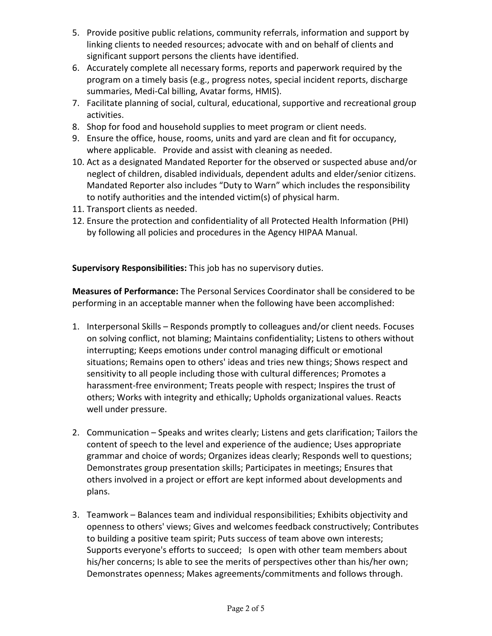- 5. Provide positive public relations, community referrals, information and support by linking clients to needed resources; advocate with and on behalf of clients and significant support persons the clients have identified.
- 6. Accurately complete all necessary forms, reports and paperwork required by the program on a timely basis (e.g., progress notes, special incident reports, discharge summaries, Medi-Cal billing, Avatar forms, HMIS).
- 7. Facilitate planning of social, cultural, educational, supportive and recreational group activities.
- 8. Shop for food and household supplies to meet program or client needs.
- 9. Ensure the office, house, rooms, units and yard are clean and fit for occupancy, where applicable. Provide and assist with cleaning as needed.
- 10. Act as a designated Mandated Reporter for the observed or suspected abuse and/or neglect of children, disabled individuals, dependent adults and elder/senior citizens. Mandated Reporter also includes "Duty to Warn" which includes the responsibility to notify authorities and the intended victim(s) of physical harm.
- 11. Transport clients as needed.
- 12. Ensure the protection and confidentiality of all Protected Health Information (PHI) by following all policies and procedures in the Agency HIPAA Manual.

**Supervisory Responsibilities:** This job has no supervisory duties.

**Measures of Performance:** The Personal Services Coordinator shall be considered to be performing in an acceptable manner when the following have been accomplished:

- 1. Interpersonal Skills Responds promptly to colleagues and/or client needs. Focuses on solving conflict, not blaming; Maintains confidentiality; Listens to others without interrupting; Keeps emotions under control managing difficult or emotional situations; Remains open to others' ideas and tries new things; Shows respect and sensitivity to all people including those with cultural differences; Promotes a harassment-free environment; Treats people with respect; Inspires the trust of others; Works with integrity and ethically; Upholds organizational values. Reacts well under pressure.
- 2. Communication Speaks and writes clearly; Listens and gets clarification; Tailors the content of speech to the level and experience of the audience; Uses appropriate grammar and choice of words; Organizes ideas clearly; Responds well to questions; Demonstrates group presentation skills; Participates in meetings; Ensures that others involved in a project or effort are kept informed about developments and plans.
- 3. Teamwork Balances team and individual responsibilities; Exhibits objectivity and openness to others' views; Gives and welcomes feedback constructively; Contributes to building a positive team spirit; Puts success of team above own interests; Supports everyone's efforts to succeed; Is open with other team members about his/her concerns; Is able to see the merits of perspectives other than his/her own; Demonstrates openness; Makes agreements/commitments and follows through.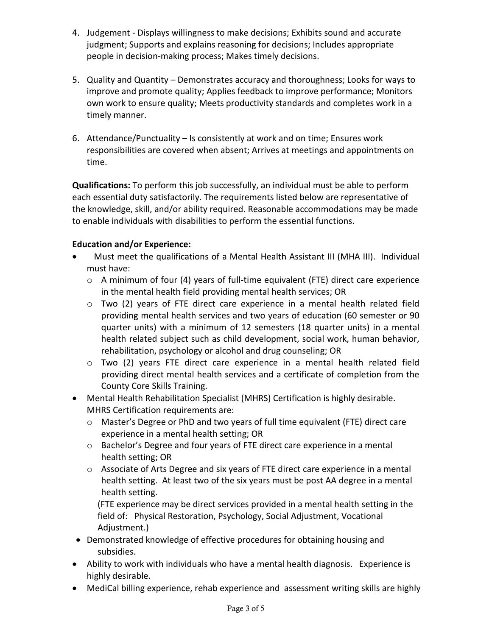- 4. Judgement Displays willingness to make decisions; Exhibits sound and accurate judgment; Supports and explains reasoning for decisions; Includes appropriate people in decision-making process; Makes timely decisions.
- 5. Quality and Quantity Demonstrates accuracy and thoroughness; Looks for ways to improve and promote quality; Applies feedback to improve performance; Monitors own work to ensure quality; Meets productivity standards and completes work in a timely manner.
- 6. Attendance/Punctuality Is consistently at work and on time; Ensures work responsibilities are covered when absent; Arrives at meetings and appointments on time.

**Qualifications:** To perform this job successfully, an individual must be able to perform each essential duty satisfactorily. The requirements listed below are representative of the knowledge, skill, and/or ability required. Reasonable accommodations may be made to enable individuals with disabilities to perform the essential functions.

### **Education and/or Experience:**

- Must meet the qualifications of a Mental Health Assistant III (MHA III). Individual must have:
	- o A minimum of four (4) years of full-time equivalent (FTE) direct care experience in the mental health field providing mental health services; OR
	- $\circ$  Two (2) years of FTE direct care experience in a mental health related field providing mental health services and two years of education (60 semester or 90 quarter units) with a minimum of 12 semesters (18 quarter units) in a mental health related subject such as child development, social work, human behavior, rehabilitation, psychology or alcohol and drug counseling; OR
	- o Two (2) years FTE direct care experience in a mental health related field providing direct mental health services and a certificate of completion from the County Core Skills Training.
- Mental Health Rehabilitation Specialist (MHRS) Certification is highly desirable. MHRS Certification requirements are:
	- o Master's Degree or PhD and two years of full time equivalent (FTE) direct care experience in a mental health setting; OR
	- o Bachelor's Degree and four years of FTE direct care experience in a mental health setting; OR
	- $\circ$  Associate of Arts Degree and six years of FTE direct care experience in a mental health setting. At least two of the six years must be post AA degree in a mental health setting.

(FTE experience may be direct services provided in a mental health setting in the field of: Physical Restoration, Psychology, Social Adjustment, Vocational Adjustment.)

- Demonstrated knowledge of effective procedures for obtaining housing and subsidies.
- Ability to work with individuals who have a mental health diagnosis. Experience is highly desirable.
- MediCal billing experience, rehab experience and assessment writing skills are highly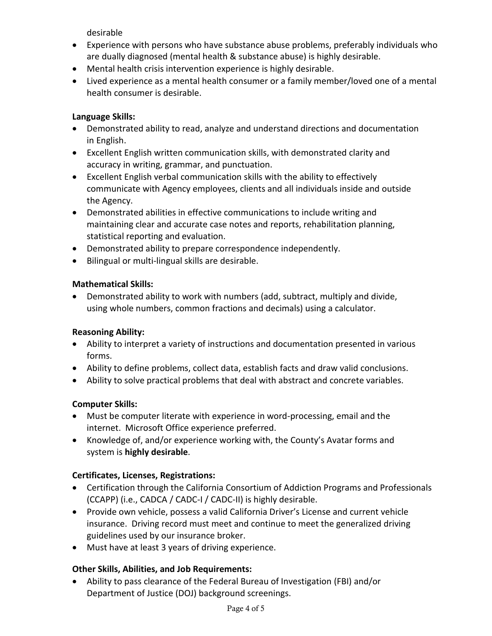desirable

- Experience with persons who have substance abuse problems, preferably individuals who are dually diagnosed (mental health & substance abuse) is highly desirable.
- Mental health crisis intervention experience is highly desirable.
- Lived experience as a mental health consumer or a family member/loved one of a mental health consumer is desirable.

### **Language Skills:**

- Demonstrated ability to read, analyze and understand directions and documentation in English.
- Excellent English written communication skills, with demonstrated clarity and accuracy in writing, grammar, and punctuation.
- Excellent English verbal communication skills with the ability to effectively communicate with Agency employees, clients and all individuals inside and outside the Agency.
- Demonstrated abilities in effective communications to include writing and maintaining clear and accurate case notes and reports, rehabilitation planning, statistical reporting and evaluation.
- Demonstrated ability to prepare correspondence independently.
- Bilingual or multi-lingual skills are desirable.

#### **Mathematical Skills:**

• Demonstrated ability to work with numbers (add, subtract, multiply and divide, using whole numbers, common fractions and decimals) using a calculator.

#### **Reasoning Ability:**

- Ability to interpret a variety of instructions and documentation presented in various forms.
- Ability to define problems, collect data, establish facts and draw valid conclusions.
- Ability to solve practical problems that deal with abstract and concrete variables.

#### **Computer Skills:**

- Must be computer literate with experience in word-processing, email and the internet. Microsoft Office experience preferred.
- Knowledge of, and/or experience working with, the County's Avatar forms and system is **highly desirable**.

# **Certificates, Licenses, Registrations:**

- Certification through the California Consortium of Addiction Programs and Professionals (CCAPP) (i.e., CADCA / CADC-I / CADC-II) is highly desirable.
- Provide own vehicle, possess a valid California Driver's License and current vehicle insurance. Driving record must meet and continue to meet the generalized driving guidelines used by our insurance broker.
- Must have at least 3 years of driving experience.

# **Other Skills, Abilities, and Job Requirements:**

• Ability to pass clearance of the Federal Bureau of Investigation (FBI) and/or Department of Justice (DOJ) background screenings.